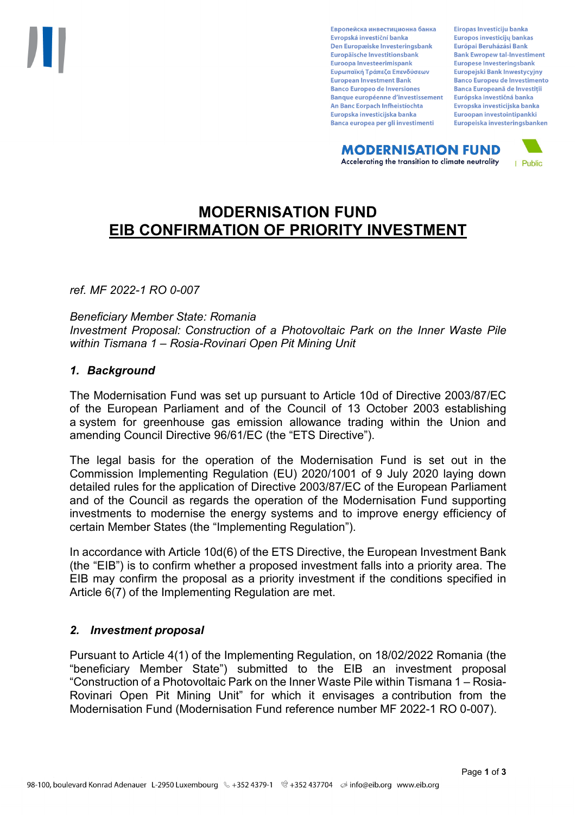Европейска инвестиционна банка Evropská investiční banka Den Europæiske Investeringsbank Europäische Investitionsbank Euroopa Investeerimispank Ευρωπαϊκή Τράπεζα Επενδύσεων **European Investment Bank Banco Europeo de Inversiones Banque européenne d'investissement** An Banc Eorpach Infheistíochta Europska investicijska banka Banca europea per gli investimenti

Eiropas Investīciju banka Europos investicijų bankas Európai Beruházási Bank **Bank Ewropew tal-Investiment** Europese Investeringsbank **Europeiski Bank Inwestycviny Banco Europeu de Investimento Banca Europeană de Investiții** Európska investičná banka Evropska investicijska banka Euroopan investointipankki Europeiska investeringsbanken

**MODERNISATION FUND** Accelerating the transition to climate neutrality



# **MODERNISATION FUND EIB CONFIRMATION OF PRIORITY INVESTMENT**

*ref. MF 2022-1 RO 0-007*

*Beneficiary Member State: Romania Investment Proposal: Construction of a Photovoltaic Park on the Inner Waste Pile within Tismana 1 – Rosia-Rovinari Open Pit Mining Unit*

### *1. Background*

The Modernisation Fund was set up pursuant to Article 10d of Directive 2003/87/EC of the European Parliament and of the Council of 13 October 2003 establishing a system for greenhouse gas emission allowance trading within the Union and amending Council Directive 96/61/EC (the "ETS Directive").

The legal basis for the operation of the Modernisation Fund is set out in the Commission Implementing Regulation (EU) 2020/1001 of 9 July 2020 laying down detailed rules for the application of Directive 2003/87/EC of the European Parliament and of the Council as regards the operation of the Modernisation Fund supporting investments to modernise the energy systems and to improve energy efficiency of certain Member States (the "Implementing Regulation").

In accordance with Article 10d(6) of the ETS Directive, the European Investment Bank (the "EIB") is to confirm whether a proposed investment falls into a priority area. The EIB may confirm the proposal as a priority investment if the conditions specified in Article 6(7) of the Implementing Regulation are met.

### *2. Investment proposal*

Pursuant to Article 4(1) of the Implementing Regulation, on 18/02/2022 Romania (the "beneficiary Member State") submitted to the EIB an investment proposal "Construction of a Photovoltaic Park on the Inner Waste Pile within Tismana 1 – Rosia-Rovinari Open Pit Mining Unit" for which it envisages a contribution from the Modernisation Fund (Modernisation Fund reference number MF 2022-1 RO 0-007).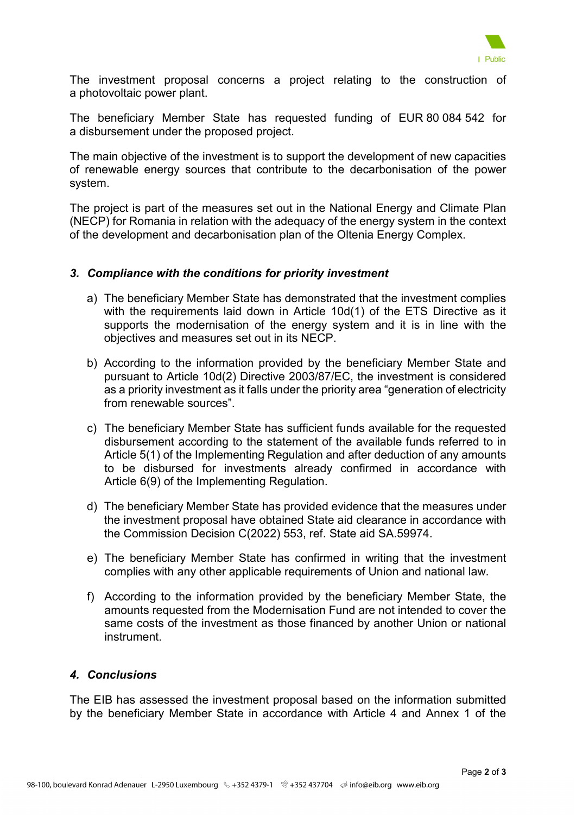

The investment proposal concerns a project relating to the construction of a photovoltaic power plant.

The beneficiary Member State has requested funding of EUR 80 084 542 for a disbursement under the proposed project.

The main objective of the investment is to support the development of new capacities of renewable energy sources that contribute to the decarbonisation of the power system.

The project is part of the measures set out in the National Energy and Climate Plan (NECP) for Romania in relation with the adequacy of the energy system in the context of the development and decarbonisation plan of the Oltenia Energy Complex.

### *3. Compliance with the conditions for priority investment*

- a) The beneficiary Member State has demonstrated that the investment complies with the requirements laid down in Article 10d(1) of the ETS Directive as it supports the modernisation of the energy system and it is in line with the objectives and measures set out in its NECP.
- b) According to the information provided by the beneficiary Member State and pursuant to Article 10d(2) Directive 2003/87/EC, the investment is considered as a priority investment as it falls under the priority area "generation of electricity from renewable sources".
- c) The beneficiary Member State has sufficient funds available for the requested disbursement according to the statement of the available funds referred to in Article 5(1) of the Implementing Regulation and after deduction of any amounts to be disbursed for investments already confirmed in accordance with Article 6(9) of the Implementing Regulation.
- d) The beneficiary Member State has provided evidence that the measures under the investment proposal have obtained State aid clearance in accordance with the Commission Decision C(2022) 553, ref. State aid SA.59974.
- e) The beneficiary Member State has confirmed in writing that the investment complies with any other applicable requirements of Union and national law.
- f) According to the information provided by the beneficiary Member State, the amounts requested from the Modernisation Fund are not intended to cover the same costs of the investment as those financed by another Union or national instrument.

## *4. Conclusions*

The EIB has assessed the investment proposal based on the information submitted by the beneficiary Member State in accordance with Article 4 and Annex 1 of the